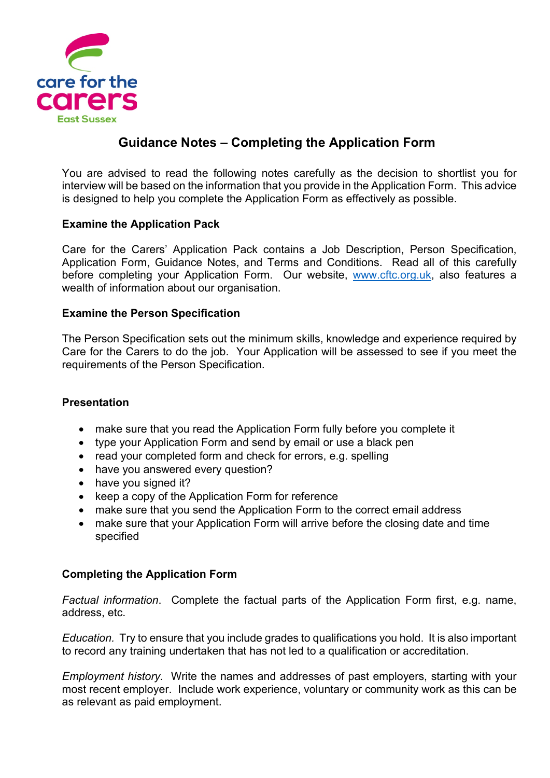

# **Guidance Notes – Completing the Application Form**

You are advised to read the following notes carefully as the decision to shortlist you for interview will be based on the information that you provide in the Application Form. This advice is designed to help you complete the Application Form as effectively as possible.

## **Examine the Application Pack**

Care for the Carers' Application Pack contains a Job Description, Person Specification, Application Form, Guidance Notes, and Terms and Conditions. Read all of this carefully before completing your Application Form. Our website, [www.cftc.org.uk,](http://www.cftc.org.uk/) also features a wealth of information about our organisation.

#### **Examine the Person Specification**

The Person Specification sets out the minimum skills, knowledge and experience required by Care for the Carers to do the job. Your Application will be assessed to see if you meet the requirements of the Person Specification.

#### **Presentation**

- make sure that you read the Application Form fully before you complete it
- type your Application Form and send by email or use a black pen
- read your completed form and check for errors, e.g. spelling
- have you answered every question?
- have you signed it?
- keep a copy of the Application Form for reference
- make sure that you send the Application Form to the correct email address
- make sure that your Application Form will arrive before the closing date and time specified

# **Completing the Application Form**

*Factual information*. Complete the factual parts of the Application Form first, e.g. name, address, etc.

*Education.* Try to ensure that you include grades to qualifications you hold. It is also important to record any training undertaken that has not led to a qualification or accreditation.

*Employment history.* Write the names and addresses of past employers, starting with your most recent employer. Include work experience, voluntary or community work as this can be as relevant as paid employment.